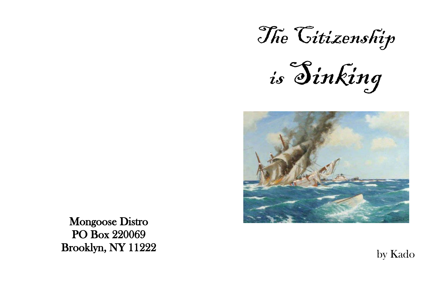The Citizenship

is Sinking



## by Kado

Mongoose Distro PO Box 220069 Brooklyn, NY 11222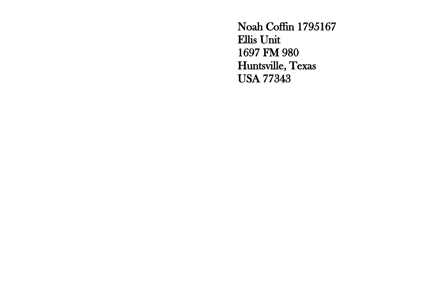Noah Coffin 1795167 Ellis Unit 1697 FM 980 Huntsville, Texas USA 77343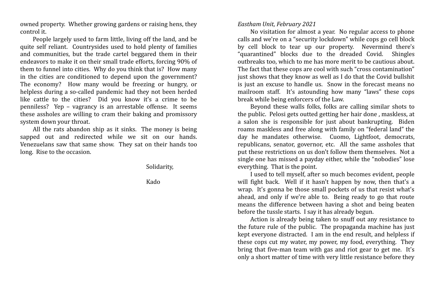## *Eastham Unit, February 2021*

No visitation for almost a year. No regular access to phone calls and we're on a "security lockdown" while cops go cell block by cell block to tear up our property. Nevermind there's "quarantined" blocks due to the dreaded Covid. Shingles outbreaks too, which to me has more merit to be cautious about. The fact that these cops are cool with such "cross contamination" just shows that they know as well as I do that the Covid bullshit is just an excuse to handle us. Snow in the forecast means no mailroom staff. It's astounding how many "laws" these cops break while being enforcers of the Law.

Beyond these walls folks, folks are calling similar shots to the public. Pelosi gets outted getting her hair done , maskless, at a salon she is responsible for just about bankrupting. Biden roams maskless and free along with family on "federal land" the day he mandates otherwise. Cuomo, Lightfoot, democrats, republicans, senator, governor, etc. All the same assholes that put these restrictions on us don't follow them themselves. Not a single one has missed a payday either, while the "nobodies" lose everything. That is the point.

I used to tell myself, after so much becomes evident, people will fight back. Well if it hasn't happen by now, then that's a wrap. It's gonna be those small pockets of us that resist what's ahead, and only if we're able to. Being ready to go that route means the difference between having a shot and being beaten before the tussle starts. I say it has already begun.

Action is already being taken to snuff out any resistance to the future rule of the public. The propaganda machine has just kept everyone distracted. I am in the end result, and helpless if these cops cut my water, my power, my food, everything. They bring that five-man team with gas and riot gear to get me. It's only a short matter of time with very little resistance before they

owned property. Whether growing gardens or raising hens, they control it.

People largely used to farm little, living off the land, and be quite self reliant. Countrysides used to hold plenty of families and communities, but the trade cartel beggared them in their endeavors to make it on their small trade efforts, forcing 90% of them to funnel into cities. Why do you think that is? How many in the cities are conditioned to depend upon the government? The economy? How many would be freezing or hungry, or helpless during a so-called pandemic had they not been herded like cattle to the cities? Did you know it's a crime to be penniless? Yep – vagrancy is an arrestable offense. It seems these assholes are willing to cram their baking and promissory system down your throat.

All the rats abandon ship as it sinks. The money is being sapped out and redirected while we sit on our hands. Venezuelans saw that same show. They sat on their hands too long. Rise to the occasion.

Solidarity,

Kado